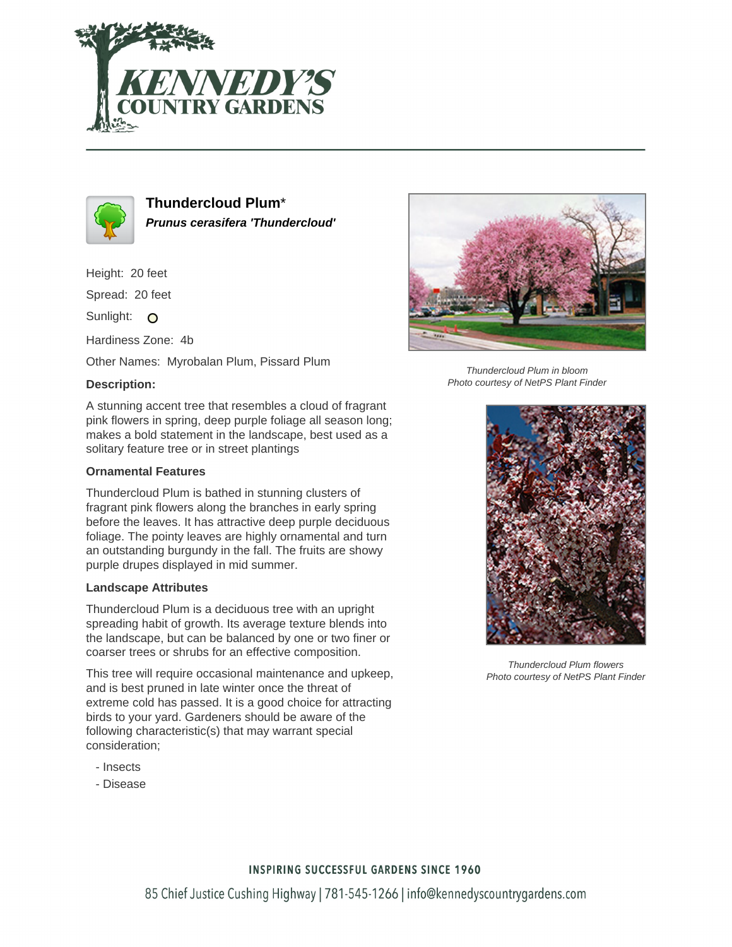



**Thundercloud Plum**\* **Prunus cerasifera 'Thundercloud'**

Height: 20 feet

Spread: 20 feet

Sunlight: O

Hardiness Zone: 4b

Other Names: Myrobalan Plum, Pissard Plum

## **Description:**

A stunning accent tree that resembles a cloud of fragrant pink flowers in spring, deep purple foliage all season long; makes a bold statement in the landscape, best used as a solitary feature tree or in street plantings

## **Ornamental Features**

Thundercloud Plum is bathed in stunning clusters of fragrant pink flowers along the branches in early spring before the leaves. It has attractive deep purple deciduous foliage. The pointy leaves are highly ornamental and turn an outstanding burgundy in the fall. The fruits are showy purple drupes displayed in mid summer.

## **Landscape Attributes**

Thundercloud Plum is a deciduous tree with an upright spreading habit of growth. Its average texture blends into the landscape, but can be balanced by one or two finer or coarser trees or shrubs for an effective composition.

This tree will require occasional maintenance and upkeep, and is best pruned in late winter once the threat of extreme cold has passed. It is a good choice for attracting birds to your yard. Gardeners should be aware of the following characteristic(s) that may warrant special consideration;

- Insects
- Disease



Thundercloud Plum in bloom Photo courtesy of NetPS Plant Finder



Thundercloud Plum flowers Photo courtesy of NetPS Plant Finder